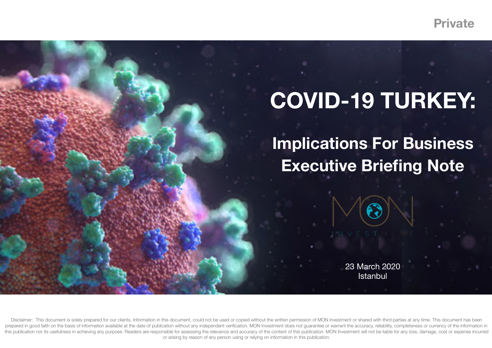**Private**

## **COVID-19 TURKEY:**

**Implications For Business Executive Briefing Note** 

> 23 March 2020 **Istanbul**

Disclaimer: This document is solely prepared for our clients. Information in this document, could not be used or copied without the written permission of MON Investment or shared with third parties at any time. This docume prepared in good faith on the basis of information available at the date of publication without any independent verification. MON Investment does not quarantee or warrant the accuracy, reliability, completeness or currency this publication nor its usefulness in achieving any purpose. Readers are responsible for assessing the relevance and accuracy of the content of this publication. MON Investment will not be liable for any loss, damage, cos or arising by reason of any person using or relying on information in this publication.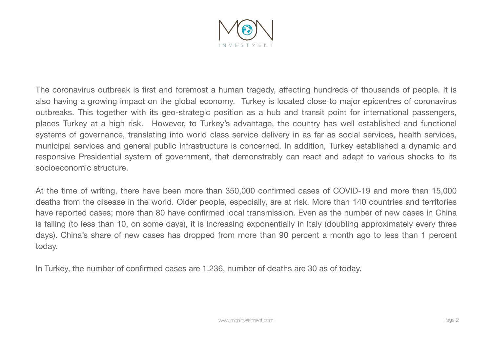

The coronavirus outbreak is first and foremost a human tragedy, affecting hundreds of thousands of people. It is also having a growing impact on the global economy. Turkey is located close to major epicentres of coronavirus outbreaks. This together with its geo-strategic position as a hub and transit point for international passengers, places Turkey at a high risk. However, to Turkey's advantage, the country has well established and functional systems of governance, translating into world class service delivery in as far as social services, health services, municipal services and general public infrastructure is concerned. In addition, Turkey established a dynamic and responsive Presidential system of government, that demonstrably can react and adapt to various shocks to its socioeconomic structure.

At the time of writing, there have been more than 350,000 confirmed cases of COVID-19 and more than 15,000 deaths from the disease in the world. Older people, especially, are at risk. More than 140 countries and territories have reported cases; more than 80 have confirmed local transmission. Even as the number of new cases in China is falling (to less than 10, on some days), it is increasing exponentially in Italy (doubling approximately every three days). China's share of new cases has dropped from more than 90 percent a month ago to less than 1 percent today.

In Turkey, the number of confirmed cases are 1.236, number of deaths are 30 as of today.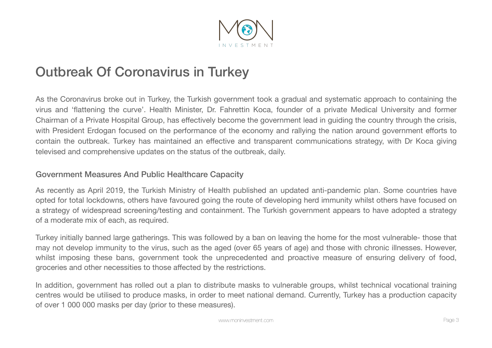

## Outbreak Of Coronavirus in Turkey

As the Coronavirus broke out in Turkey, the Turkish government took a gradual and systematic approach to containing the virus and 'flattening the curve'. Health Minister, Dr. Fahrettin Koca, founder of a private Medical University and former Chairman of a Private Hospital Group, has effectively become the government lead in guiding the country through the crisis, with President Erdogan focused on the performance of the economy and rallying the nation around government efforts to contain the outbreak. Turkey has maintained an effective and transparent communications strategy, with Dr Koca giving televised and comprehensive updates on the status of the outbreak, daily.

## Government Measures And Public Healthcare Capacity

As recently as April 2019, the Turkish Ministry of Health published an updated anti-pandemic plan. Some countries have opted for total lockdowns, others have favoured going the route of developing herd immunity whilst others have focused on a strategy of widespread screening/testing and containment. The Turkish government appears to have adopted a strategy of a moderate mix of each, as required.

Turkey initially banned large gatherings. This was followed by a ban on leaving the home for the most vulnerable- those that may not develop immunity to the virus, such as the aged (over 65 years of age) and those with chronic illnesses. However, whilst imposing these bans, government took the unprecedented and proactive measure of ensuring delivery of food, groceries and other necessities to those affected by the restrictions.

In addition, government has rolled out a plan to distribute masks to vulnerable groups, whilst technical vocational training centres would be utilised to produce masks, in order to meet national demand. Currently, Turkey has a production capacity of over 1 000 000 masks per day (prior to these measures).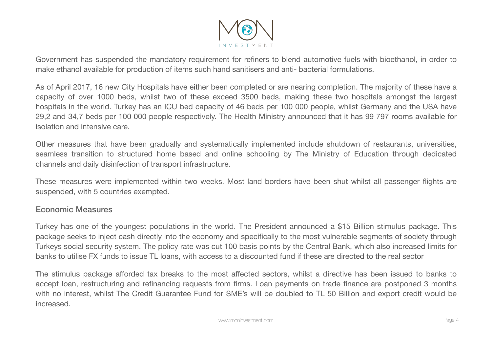

Government has suspended the mandatory requirement for refiners to blend automotive fuels with bioethanol, in order to make ethanol available for production of items such hand sanitisers and anti- bacterial formulations.

As of April 2017, 16 new City Hospitals have either been completed or are nearing completion. The majority of these have a capacity of over 1000 beds, whilst two of these exceed 3500 beds, making these two hospitals amongst the largest hospitals in the world. Turkey has an ICU bed capacity of 46 beds per 100 000 people, whilst Germany and the USA have 29,2 and 34,7 beds per 100 000 people respectively. The Health Ministry announced that it has 99 797 rooms available for isolation and intensive care.

Other measures that have been gradually and systematically implemented include shutdown of restaurants, universities, seamless transition to structured home based and online schooling by The Ministry of Education through dedicated channels and daily disinfection of transport infrastructure.

These measures were implemented within two weeks. Most land borders have been shut whilst all passenger flights are suspended, with 5 countries exempted.

## Economic Measures

Turkey has one of the youngest populations in the world. The President announced a \$15 Billion stimulus package. This package seeks to inject cash directly into the economy and specifically to the most vulnerable segments of society through Turkeys social security system. The policy rate was cut 100 basis points by the Central Bank, which also increased limits for banks to utilise FX funds to issue TL loans, with access to a discounted fund if these are directed to the real sector

The stimulus package afforded tax breaks to the most affected sectors, whilst a directive has been issued to banks to accept loan, restructuring and refinancing requests from firms. Loan payments on trade finance are postponed 3 months with no interest, whilst The Credit Guarantee Fund for SME's will be doubled to TL 50 Billion and export credit would be increased.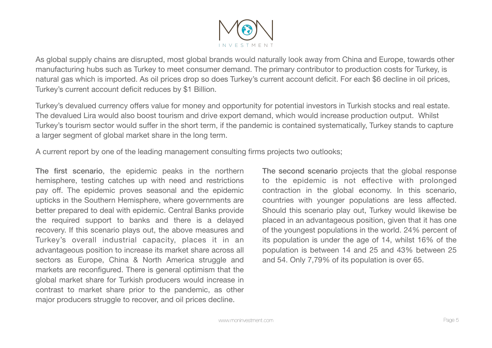

As global supply chains are disrupted, most global brands would naturally look away from China and Europe, towards other manufacturing hubs such as Turkey to meet consumer demand. The primary contributor to production costs for Turkey, is natural gas which is imported. As oil prices drop so does Turkey's current account deficit. For each \$6 decline in oil prices, Turkey's current account deficit reduces by \$1 Billion.

Turkey's devalued currency offers value for money and opportunity for potential investors in Turkish stocks and real estate. The devalued Lira would also boost tourism and drive export demand, which would increase production output. Whilst Turkey's tourism sector would suffer in the short term, if the pandemic is contained systematically, Turkey stands to capture a larger segment of global market share in the long term.

A current report by one of the leading management consulting firms projects two outlooks;

The first scenario, the epidemic peaks in the northern hemisphere, testing catches up with need and restrictions pay off. The epidemic proves seasonal and the epidemic upticks in the Southern Hemisphere, where governments are better prepared to deal with epidemic. Central Banks provide the required support to banks and there is a delayed recovery. If this scenario plays out, the above measures and Turkey's overall industrial capacity, places it in an advantageous position to increase its market share across all sectors as Europe, China & North America struggle and markets are reconfigured. There is general optimism that the global market share for Turkish producers would increase in contrast to market share prior to the pandemic, as other major producers struggle to recover, and oil prices decline.

The second scenario projects that the global response to the epidemic is not effective with prolonged contraction in the global economy. In this scenario, countries with younger populations are less affected. Should this scenario play out, Turkey would likewise be placed in an advantageous position, given that it has one of the youngest populations in the world. 24% percent of its population is under the age of 14, whilst 16% of the population is between 14 and 25 and 43% between 25 and 54. Only 7,79% of its population is over 65.